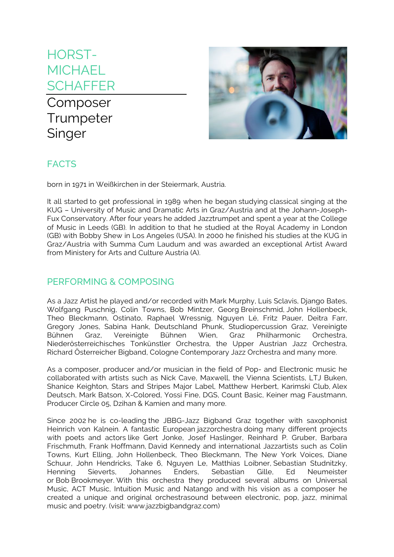# HORST-**MICHAEL SCHAFFER**

## Composer **Trumpeter Singer**



## FACTS

born in 1971 in Weißkirchen in der Steiermark, Austria.

It all started to get professional in 1989 when he began studying classical singing at the KUG – University of Music and Dramatic Arts in Graz/Austria and at the Johann-Joseph-Fux Conservatory. After four years he added Jazztrumpet and spent a year at the College of Music in Leeds (GB). In addition to that he studied at the Royal Academy in London (GB) with Bobby Shew in Los Angeles (USA). In 2000 he finished his studies at the KUG in Graz/Austria with Summa Cum Laudum and was awarded an exceptional Artist Award from Ministery for Arts and Culture Austria (A).

#### PERFORMING & COMPOSING

As a Jazz Artist he played and/or recorded with Mark Murphy, Luis Sclavis, Django Bates, Wolfgang Puschnig, Colin Towns, Bob Mintzer, Georg Breinschmid, John Hollenbeck, Theo Bleckmann, Ostinato, Raphael Wressnig, Nguyen Lé, Fritz Pauer, Deitra Farr, Gregory Jones, Sabina Hank, Deutschland Phunk, Studiopercussion Graz, Vereinigte Bühnen Graz, Vereinigte Bühnen Wien, Graz Philharmonic Orchestra, Niederösterreichisches Tonkünstler Orchestra, the Upper Austrian Jazz Orchestra, Richard Österreicher Bigband, Cologne Contemporary Jazz Orchestra and many more.

As a composer, producer and/or musician in the field of Pop- and Electronic music he collaborated with artists such as Nick Cave, Maxwell, the Vienna Scientists, LTJ Buken, Shanice Keighton, Stars and Stripes Major Label, Matthew Herbert, Karimski Club, Alex Deutsch, Mark Batson, X-Colored, Yossi Fine, DGS, Count Basic, Keiner mag Faustmann, Producer Circle 05, Dzihan & Kamien and many more.

Since 2002 he is co-leading the JBBG-Jazz Bigband Graz together with saxophonist Heinrich von Kalnein. A fantastic European jazzorchestra doing many different projects with poets and actors like Gert Jonke, Josef Haslinger, Reinhard P. Gruber, Barbara Frischmuth, Frank Hoffmann, David Kennedy and international Jazzartists such as Colin Towns, Kurt Elling, John Hollenbeck, Theo Bleckmann, The New York Voices, Diane Schuur, John Hendricks, Take 6, Nguyen Le, Matthias Loibner, Sebastian Studnitzky, Henning Sieverts, Johannes Enders, Sebastian Gille, Ed Neumeister or Bob Brookmeyer. With this orchestra they produced several albums on Universal Music, ACT Music, Intuition Music and Natango and with his vision as a composer he created a unique and original orchestrasound between electronic, pop, jazz, minimal music and poetry. (visit: www.jazzbigbandgraz.com)